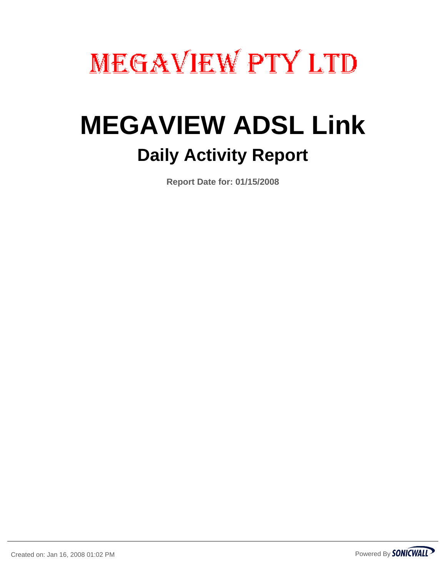# **MEGAVIEW PTY LTD**

# **MEGAVIEW ADSL Link Daily Activity Report**

**Report Date for: 01/15/2008**

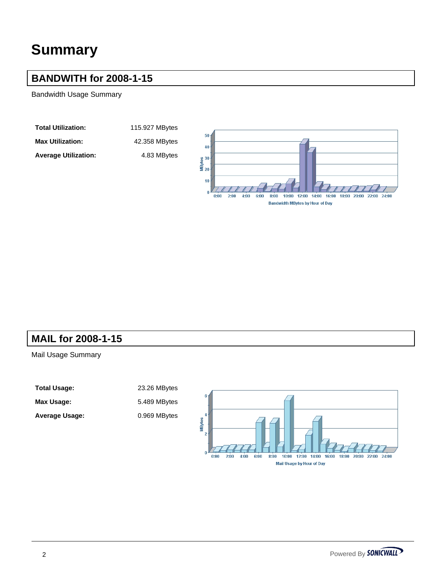# **Summary**

#### **BANDWITH for 2008-1-15**

Bandwidth Usage Summary

**Total Utilization:** 115.927 MBytes

Max Utilization: 42.358 MBytes

Average Utilization: 4.83 MBytes

40



#### **MAIL for 2008-1-15**

Mail Usage Summary

**Total Usage:** 23.26 MBytes Max Usage: 5.489 MBytes

Average Usage: 0.969 MBytes

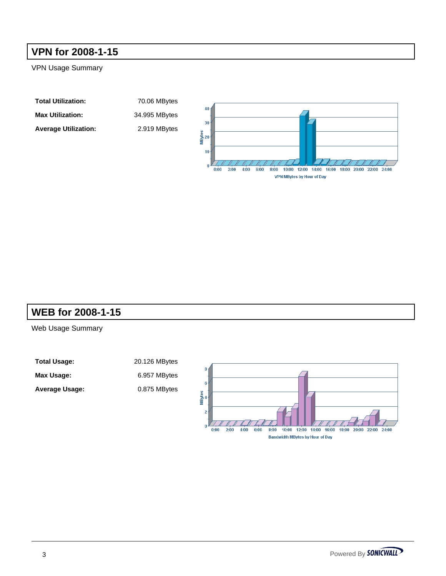### **VPN for 2008-1-15**

VPN Usage Summary

| <b>Total Utilization:</b>   | 70.06 MBytes  |
|-----------------------------|---------------|
| <b>Max Utilization:</b>     | 34.995 MBytes |
| <b>Average Utilization:</b> | 2.919 MBytes  |



#### **WEB for 2008-1-15**

Web Usage Summary

Total Usage: 20.126 MBytes Max Usage: 6.957 MBytes Average Usage: 0.875 MBytes

**Total Utilization:** 70.06 MBytes **Max Utilization:** 34.995 MBytes

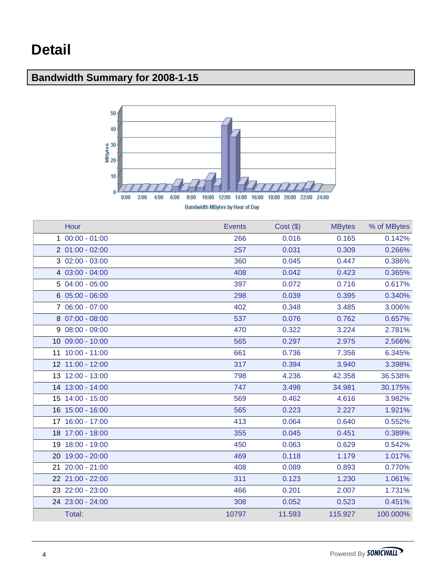Г

# **Bandwidth Summary for 2008-1-15**



| Bandwidth MBytes by Hour of Day |        |         |                |        |  |  |
|---------------------------------|--------|---------|----------------|--------|--|--|
| Hour                            | zvenis | Cost(S) | <b>MB</b> vtes | $%$ of |  |  |

| <u>Fiuur</u>     | EVELIIO | $UU$ SL $(\varphi)$ | <b>IVIDYLES</b> | <b>70 UI IVIDYLES</b> |
|------------------|---------|---------------------|-----------------|-----------------------|
| $100:00 - 01:00$ | 266     | 0.016               | 0.165           | 0.142%                |
| $201:00 - 02:00$ | 257     | 0.031               | 0.309           | 0.266%                |
| $302:00 - 03:00$ | 360     | 0.045               | 0.447           | 0.386%                |
| 4 03:00 - 04:00  | 408     | 0.042               | 0.423           | 0.365%                |
| 5 04:00 - 05:00  | 397     | 0.072               | 0.716           | 0.617%                |
| $605:00 - 06:00$ | 298     | 0.039               | 0.395           | 0.340%                |
| 7 06:00 - 07:00  | 402     | 0.348               | 3.485           | 3.006%                |
| 8 07:00 - 08:00  | 537     | 0.076               | 0.762           | 0.657%                |
| $908:00 - 09:00$ | 470     | 0.322               | 3.224           | 2.781%                |
| 10 09:00 - 10:00 | 565     | 0.297               | 2.975           | 2.566%                |
| 11 10:00 - 11:00 | 661     | 0.736               | 7.356           | 6.345%                |
| 12 11:00 - 12:00 | 317     | 0.394               | 3.940           | 3.398%                |
| 13 12:00 - 13:00 | 798     | 4.236               | 42.358          | 36.538%               |
| 14 13:00 - 14:00 | 747     | 3.498               | 34.981          | 30.175%               |
| 15 14:00 - 15:00 | 569     | 0.462               | 4.616           | 3.982%                |
| 16 15:00 - 16:00 | 565     | 0.223               | 2.227           | 1.921%                |
| 17 16:00 - 17:00 | 413     | 0.064               | 0.640           | 0.552%                |
| 18 17:00 - 18:00 | 355     | 0.045               | 0.451           | 0.389%                |
| 19 18:00 - 19:00 | 450     | 0.063               | 0.629           | 0.542%                |
| 20 19:00 - 20:00 | 469     | 0.118               | 1.179           | 1.017%                |
| 21 20:00 - 21:00 | 408     | 0.089               | 0.893           | 0.770%                |
| 22 21:00 - 22:00 | 311     | 0.123               | 1.230           | 1.061%                |
| 23 22:00 - 23:00 | 466     | 0.201               | 2.007           | 1.731%                |
| 24 23:00 - 24:00 | 308     | 0.052               | 0.523           | 0.451%                |
| Total:           | 10797   | 11.593              | 115.927         | 100.000%              |
|                  |         |                     |                 |                       |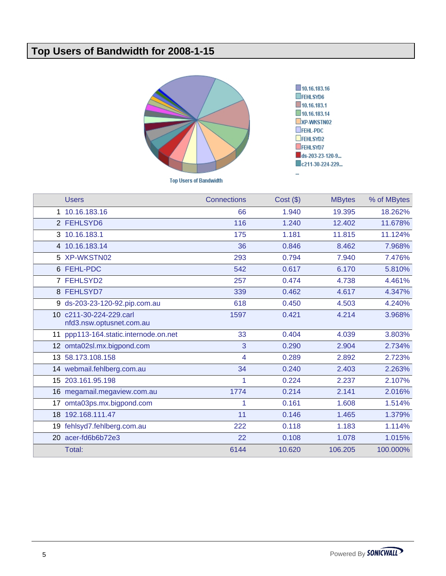## **Top Users of Bandwidth for 2008-1-15**



|    | <b>Users</b>                                        | <b>Connections</b> | $Cost($ \$) | <b>MBytes</b> | % of MBytes |
|----|-----------------------------------------------------|--------------------|-------------|---------------|-------------|
|    | 1 10.16.183.16                                      | 66                 | 1.940       | 19.395        | 18.262%     |
|    | 2 FEHLSYD6                                          | 116                | 1.240       | 12.402        | 11.678%     |
|    | 3 10.16.183.1                                       | 175                | 1.181       | 11.815        | 11.124%     |
|    | 4 10.16.183.14                                      | 36                 | 0.846       | 8.462         | 7.968%      |
|    | 5 XP-WKSTN02                                        | 293                | 0.794       | 7.940         | 7.476%      |
|    | 6 FEHL-PDC                                          | 542                | 0.617       | 6.170         | 5.810%      |
|    | 7 FEHLSYD2                                          | 257                | 0.474       | 4.738         | 4.461%      |
|    | 8 FEHLSYD7                                          | 339                | 0.462       | 4.617         | 4.347%      |
|    | 9 ds-203-23-120-92.pip.com.au                       | 618                | 0.450       | 4.503         | 4.240%      |
|    | 10 c211-30-224-229.carl<br>nfd3.nsw.optusnet.com.au | 1597               | 0.421       | 4.214         | 3.968%      |
|    | 11 ppp113-164.static.internode.on.net               | 33                 | 0.404       | 4.039         | 3.803%      |
|    | 12 omta02sl.mx.bigpond.com                          | 3                  | 0.290       | 2.904         | 2.734%      |
|    | 13 58.173.108.158                                   | 4                  | 0.289       | 2.892         | 2.723%      |
|    | 14 webmail.fehlberg.com.au                          | 34                 | 0.240       | 2.403         | 2.263%      |
|    | 15 203.161.95.198                                   | 1                  | 0.224       | 2.237         | 2.107%      |
|    | 16 megamail.megaview.com.au                         | 1774               | 0.214       | 2.141         | 2.016%      |
| 17 | omta03ps.mx.bigpond.com                             | 1                  | 0.161       | 1.608         | 1.514%      |
|    | 18 192.168.111.47                                   | 11                 | 0.146       | 1.465         | 1.379%      |
|    | 19 fehlsyd7.fehlberg.com.au                         | 222                | 0.118       | 1.183         | 1.114%      |
|    | 20 acer-fd6b6b72e3                                  | 22                 | 0.108       | 1.078         | 1.015%      |
|    | Total:                                              | 6144               | 10.620      | 106.205       | 100.000%    |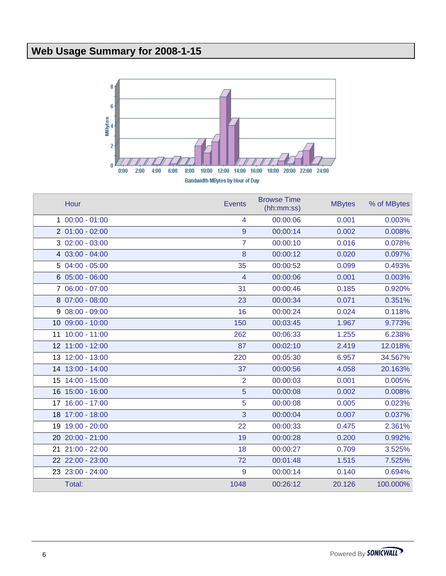# **Web Usage Summary for 2008-1-15**



| Hour             | <b>Events</b>  | <b>Browse Time</b><br>(hh:mm:ss) | <b>MBytes</b> | % of MBytes |
|------------------|----------------|----------------------------------|---------------|-------------|
| $100:00 - 01:00$ | 4              | 00:00:06                         | 0.001         | 0.003%      |
| $201:00 - 02:00$ | 9              | 00:00:14                         | 0.002         | 0.008%      |
| $302:00 - 03:00$ | $\overline{7}$ | 00:00:10                         | 0.016         | 0.078%      |
| 4 03:00 - 04:00  | 8              | 00:00:12                         | 0.020         | 0.097%      |
| $504:00 - 05:00$ | 35             | 00:00:52                         | 0.099         | 0.493%      |
| $605:00 - 06:00$ | 4              | 00:00:06                         | 0.001         | 0.003%      |
| 7 06:00 - 07:00  | 31             | 00:00:46                         | 0.185         | 0.920%      |
| 8 07:00 - 08:00  | 23             | 00:00:34                         | 0.071         | 0.351%      |
| $908:00 - 09:00$ | 16             | 00:00:24                         | 0.024         | 0.118%      |
| 10 09:00 - 10:00 | 150            | 00:03:45                         | 1.967         | 9.773%      |
| 11 10:00 - 11:00 | 262            | 00:06:33                         | 1.255         | 6.238%      |
| 12 11:00 - 12:00 | 87             | 00:02:10                         | 2.419         | 12.018%     |
| 13 12:00 - 13:00 | 220            | 00:05:30                         | 6.957         | 34.567%     |
| 14 13:00 - 14:00 | 37             | 00:00:56                         | 4.058         | 20.163%     |
| 15 14:00 - 15:00 | $\overline{2}$ | 00:00:03                         | 0.001         | 0.005%      |
| 16 15:00 - 16:00 | 5              | 00:00:08                         | 0.002         | 0.008%      |
| 17 16:00 - 17:00 | 5              | 00:00:08                         | 0.005         | 0.023%      |
| 18 17:00 - 18:00 | 3              | 00:00:04                         | 0.007         | 0.037%      |
| 19 19:00 - 20:00 | 22             | 00:00:33                         | 0.475         | 2.361%      |
| 20 20:00 - 21:00 | 19             | 00:00:28                         | 0.200         | 0.992%      |
| 21 21:00 - 22:00 | 18             | 00:00:27                         | 0.709         | 3.525%      |
| 22 22:00 - 23:00 | 72             | 00:01:48                         | 1.515         | 7.525%      |
| 23 23:00 - 24:00 | 9              | 00:00:14                         | 0.140         | 0.694%      |
| Total:           | 1048           | 00:26:12                         | 20.126        | 100.000%    |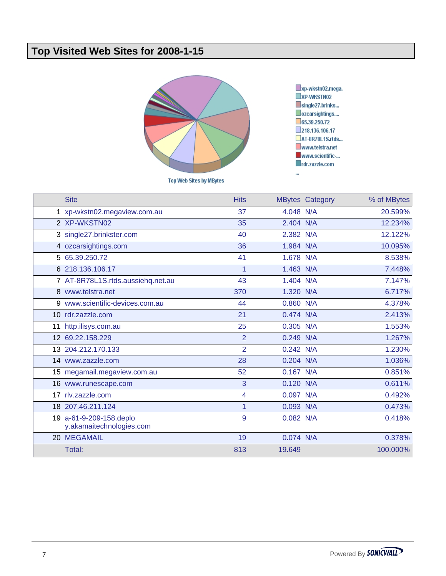### **Top Visited Web Sites for 2008-1-15**



**Top Web Sites by MBytes** 

xp-wkstn02.mega.<br>xp-wkstn02 single27.brinks... Ozcarsightings....  $\square$ 65.39.250.72 218.136.106.17 AT-8R78L1S.rtds... www.telstra.net www.scientific-... rdr.zazzle.com u,

|    | <b>Site</b>                                         | <b>Hits</b>             |             | <b>MBytes Category</b> | % of MBytes |
|----|-----------------------------------------------------|-------------------------|-------------|------------------------|-------------|
|    | 1 xp-wkstn02.megaview.com.au                        | 37                      | 4.048 N/A   |                        | 20.599%     |
|    | 2 XP-WKSTN02                                        | 35                      | 2.404 N/A   |                        | 12.234%     |
|    | 3 single27.brinkster.com                            | 40                      | 2.382 N/A   |                        | 12.122%     |
|    | 4 ozcarsightings.com                                | 36                      | 1.984 N/A   |                        | 10.095%     |
|    | 5 65.39.250.72                                      | 41                      | 1.678 N/A   |                        | 8.538%      |
|    | 6 218.136.106.17                                    | $\overline{1}$          | 1.463 N/A   |                        | 7.448%      |
|    | 7 AT-8R78L1S.rtds.aussiehq.net.au                   | 43                      | 1.404 N/A   |                        | 7.147%      |
|    | 8 www.telstra.net                                   | 370                     | 1.320 N/A   |                        | 6.717%      |
|    | 9 www.scientific-devices.com.au                     | 44                      | 0.860 N/A   |                        | 4.378%      |
|    | 10 rdr.zazzle.com                                   | 21                      | 0.474 N/A   |                        | 2.413%      |
| 11 | http.ilisys.com.au                                  | 25                      | 0.305 N/A   |                        | 1.553%      |
|    | 12 69.22.158.229                                    | $\overline{2}$          | 0.249 N/A   |                        | 1.267%      |
|    | 13 204.212.170.133                                  | $\overline{2}$          | 0.242 N/A   |                        | 1.230%      |
|    | 14 www.zazzle.com                                   | 28                      | $0.204$ N/A |                        | 1.036%      |
|    | 15 megamail.megaview.com.au                         | 52                      | $0.167$ N/A |                        | 0.851%      |
|    | 16 www.runescape.com                                | 3                       | 0.120 N/A   |                        | 0.611%      |
|    | 17 rlv.zazzle.com                                   | $\overline{\mathbf{4}}$ | 0.097 N/A   |                        | 0.492%      |
|    | 18 207.46.211.124                                   | 1                       | 0.093 N/A   |                        | 0.473%      |
|    | 19 a-61-9-209-158.deplo<br>y.akamaitechnologies.com | 9                       | 0.082 N/A   |                        | 0.418%      |
|    | 20 MEGAMAIL                                         | 19                      | 0.074 N/A   |                        | 0.378%      |
|    | Total:                                              | 813                     | 19.649      |                        | 100.000%    |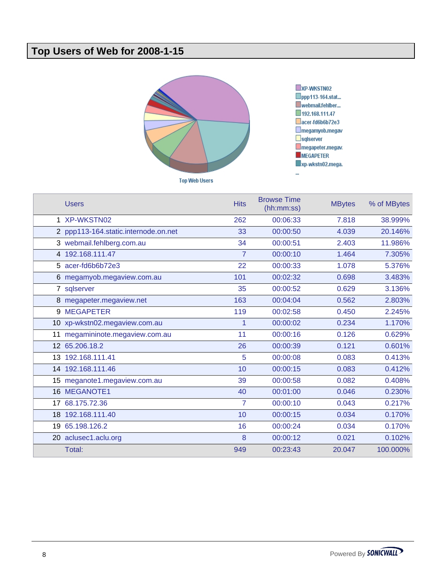## **Top Users of Web for 2008-1-15**





| <b>Users</b>                         | <b>Hits</b>    | <b>Browse Time</b><br>(hh:mm:ss) | <b>MBytes</b> | % of MBytes |
|--------------------------------------|----------------|----------------------------------|---------------|-------------|
| 1 XP-WKSTN02                         | 262            | 00:06:33                         | 7.818         | 38.999%     |
| 2 ppp113-164.static.internode.on.net | 33             | 00:00:50                         | 4.039         | 20.146%     |
| 3 webmail.fehlberg.com.au            | 34             | 00:00:51                         | 2.403         | 11.986%     |
| 4 192.168.111.47                     | $\overline{7}$ | 00:00:10                         | 1.464         | 7.305%      |
| 5 acer-fd6b6b72e3                    | 22             | 00:00:33                         | 1.078         | 5.376%      |
| 6 megamyob.megaview.com.au           | 101            | 00:02:32                         | 0.698         | 3.483%      |
| 7 sqlserver                          | 35             | 00:00:52                         | 0.629         | 3.136%      |
| 8 megapeter.megaview.net             | 163            | 00:04:04                         | 0.562         | 2.803%      |
| 9 MEGAPETER                          | 119            | 00:02:58                         | 0.450         | 2.245%      |
| 10 xp-wkstn02.megaview.com.au        | 1              | 00:00:02                         | 0.234         | 1.170%      |
| 11 megamininote.megaview.com.au      | 11             | 00:00:16                         | 0.126         | 0.629%      |
| 12 65.206.18.2                       | 26             | 00:00:39                         | 0.121         | 0.601%      |
| 13 192.168.111.41                    | 5              | 00:00:08                         | 0.083         | 0.413%      |
| 14 192.168.111.46                    | 10             | 00:00:15                         | 0.083         | 0.412%      |
| 15 meganote1.megaview.com.au         | 39             | 00:00:58                         | 0.082         | 0.408%      |
| 16 MEGANOTE1                         | 40             | 00:01:00                         | 0.046         | 0.230%      |
| 17 68.175.72.36                      | $\overline{7}$ | 00:00:10                         | 0.043         | 0.217%      |
| 18 192.168.111.40                    | 10             | 00:00:15                         | 0.034         | 0.170%      |
| 19 65.198.126.2                      | 16             | 00:00:24                         | 0.034         | 0.170%      |
| 20 aclusec1.aclu.org                 | 8              | 00:00:12                         | 0.021         | 0.102%      |
| Total:                               | 949            | 00:23:43                         | 20.047        | 100.000%    |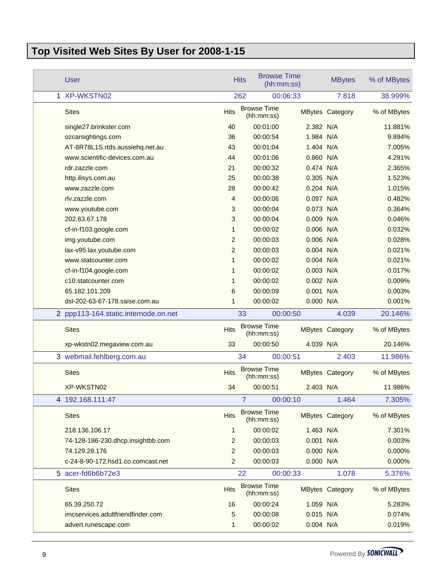# **Top Visited Web Sites By User for 2008-1-15**

| <b>User</b>                          |                | <b>Browse Time</b><br><b>Hits</b> | (hh:mm:ss)  | <b>MBytes</b>          | % of MBytes |
|--------------------------------------|----------------|-----------------------------------|-------------|------------------------|-------------|
| 1 XP-WKSTN02                         |                | 262                               | 00:06:33    | 7.818                  | 38.999%     |
| <b>Sites</b>                         | <b>Hits</b>    | <b>Browse Time</b><br>(hh:mm:ss)  |             | <b>MBytes Category</b> | % of MBytes |
| single27.brinkster.com               | 40             | 00:01:00                          | 2.382 N/A   |                        | 11.881%     |
| ozcarsightings.com                   | 36             | 00:00:54                          | 1.984 N/A   |                        | 9.894%      |
| AT-8R78L1S.rtds.aussiehq.net.au      | 43             | 00:01:04                          | 1.404 N/A   |                        | 7.005%      |
| www.scientific-devices.com.au        | 44             | 00:01:06                          | 0.860 N/A   |                        | 4.291%      |
| rdr.zazzle.com                       | 21             | 00:00:32                          | 0.474 N/A   |                        | 2.365%      |
| http.ilisys.com.au                   | 25             | 00:00:38                          | 0.305 N/A   |                        | 1.523%      |
| www.zazzle.com                       | 28             | 00:00:42                          | $0.204$ N/A |                        | 1.015%      |
| rlv.zazzle.com                       | $\overline{4}$ | 00:00:06                          | 0.097 N/A   |                        | 0.482%      |
| www.youtube.com                      | 3              | 00:00:04                          | 0.073 N/A   |                        | 0.364%      |
| 202.63.67.178                        | 3              | 00:00:04                          | 0.009 N/A   |                        | 0.046%      |
| cf-in-f103.google.com                | 1              | 00:00:02                          | 0.006 N/A   |                        | 0.032%      |
| img.youtube.com                      | 2              | 00:00:03                          | 0.006 N/A   |                        | 0.028%      |
| lax-v95.lax.youtube.com              | $\overline{2}$ | 00:00:03                          | 0.004 N/A   |                        | 0.021%      |
| www.statcounter.com                  | 1              | 00:00:02                          | $0.004$ N/A |                        | 0.021%      |
| cf-in-f104.google.com                | 1              | 00:00:02                          | 0.003 N/A   |                        | 0.017%      |
| c10.statcounter.com                  | 1              | 00:00:02                          | 0.002 N/A   |                        | 0.009%      |
| 65.182.101.209                       | 6              | 00:00:09                          | 0.001 N/A   |                        | 0.003%      |
| dsl-202-63-67-178.saise.com.au       | 1              | 00:00:02                          | 0.000 N/A   |                        | 0.001%      |
| 2 ppp113-164.static.internode.on.net |                | 33                                | 00:00:50    | 4.039                  | 20.146%     |
| <b>Sites</b>                         | <b>Hits</b>    | <b>Browse Time</b><br>(hh:mm:ss)  |             | <b>MBytes Category</b> | % of MBytes |
| xp-wkstn02.megaview.com.au           | 33             | 00:00:50                          | 4.039 N/A   |                        | 20.146%     |
| 3 webmail.fehlberg.com.au            |                | 34                                | 00:00:51    | 2.403                  | 11.986%     |
| <b>Sites</b>                         | <b>Hits</b>    | <b>Browse Time</b><br>(hh:mm:ss)  |             | <b>MBytes Category</b> | % of MBytes |
| XP-WKSTN02                           | 34             | 00:00:51                          | 2.403 N/A   |                        | 11.986%     |
| 4 192.168.111.47                     |                | $\overline{7}$                    | 00:00:10    | 1.464                  | 7.305%      |
| <b>Sites</b>                         | <b>Hits</b>    | <b>Browse Time</b><br>(hh:mm:ss)  |             | <b>MBytes Category</b> | % of MBytes |
| 218.136.106.17                       | 1              | 00:00:02                          | 1.463 N/A   |                        | 7.301%      |
| 74-128-186-230.dhcp.insightbb.com    | 2              | 00:00:03                          | 0.001 N/A   |                        | 0.003%      |
| 74.129.28.176                        | 2              | 00:00:03                          | 0.000 N/A   |                        | 0.000%      |
| c-24-8-90-172.hsd1.co.comcast.net    | $\overline{c}$ | 00:00:03                          | 0.000 N/A   |                        | 0.000%      |
| 5 acer-fd6b6b72e3                    |                | 22                                | 00:00:33    | 1.078                  | 5.376%      |
| <b>Sites</b>                         | <b>Hits</b>    | <b>Browse Time</b><br>(hh:mm:ss)  |             | <b>MBytes Category</b> | % of MBytes |
| 65.39.250.72                         | 16             | 00:00:24                          | 1.059 N/A   |                        | 5.283%      |
| imcservices.adultfriendfinder.com    | 5              | 00:00:08                          | 0.015 N/A   |                        | 0.074%      |
| advert.runescape.com                 | 1              | 00:00:02                          | 0.004 N/A   |                        | 0.019%      |
|                                      |                |                                   |             |                        |             |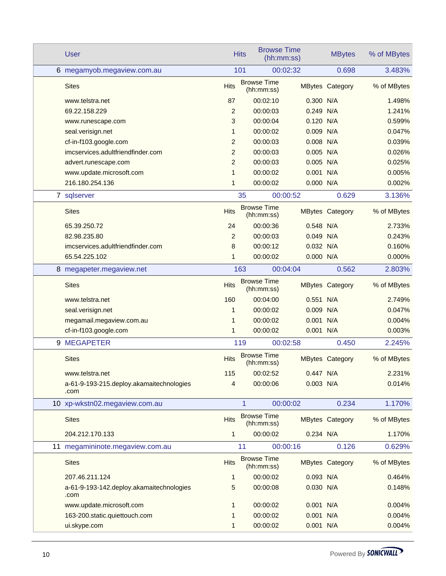|   | <b>User</b>                                      |                | <b>Browse Time</b><br><b>Hits</b> | (hh:mm:ss)  | <b>MBytes</b>          | % of MBytes |
|---|--------------------------------------------------|----------------|-----------------------------------|-------------|------------------------|-------------|
|   | 6 megamyob.megaview.com.au                       |                | 101                               | 00:02:32    | 0.698                  | 3.483%      |
|   | <b>Sites</b>                                     | <b>Hits</b>    | <b>Browse Time</b><br>(hh:mm:ss)  |             | <b>MBytes Category</b> | % of MBytes |
|   | www.telstra.net                                  | 87             | 00:02:10                          | 0.300 N/A   |                        | 1.498%      |
|   | 69.22.158.229                                    | 2              | 00:00:03                          | 0.249       | N/A                    | 1.241%      |
|   | www.runescape.com                                | 3              | 00:00:04                          | 0.120       | N/A                    | 0.599%      |
|   | seal.verisign.net                                | 1              | 00:00:02                          | 0.009 N/A   |                        | 0.047%      |
|   | cf-in-f103.google.com                            | $\overline{2}$ | 00:00:03                          | 0.008 N/A   |                        | 0.039%      |
|   | imcservices.adultfriendfinder.com                | 2              | 00:00:03                          | 0.005 N/A   |                        | 0.026%      |
|   | advert.runescape.com                             | 2              | 00:00:03                          | 0.005 N/A   |                        | 0.025%      |
|   | www.update.microsoft.com                         | $\mathbf{1}$   | 00:00:02                          | 0.001 N/A   |                        | 0.005%      |
|   | 216.180.254.136                                  | $\mathbf 1$    | 00:00:02                          | 0.000 N/A   |                        | 0.002%      |
|   | 7 sqlserver                                      |                | 35                                | 00:00:52    | 0.629                  | 3.136%      |
|   | <b>Sites</b>                                     | <b>Hits</b>    | <b>Browse Time</b><br>(hh:mm:ss)  |             | <b>MBytes Category</b> | % of MBytes |
|   | 65.39.250.72                                     | 24             | 00:00:36                          | 0.548 N/A   |                        | 2.733%      |
|   | 82.98.235.80                                     | 2              | 00:00:03                          | 0.049 N/A   |                        | 0.243%      |
|   | imcservices.adultfriendfinder.com                | 8              | 00:00:12                          | 0.032 N/A   |                        | 0.160%      |
|   | 65.54.225.102                                    | 1              | 00:00:02                          | 0.000 N/A   |                        | 0.000%      |
|   | 8 megapeter.megaview.net                         |                | 163                               | 00:04:04    | 0.562                  | 2.803%      |
|   | <b>Sites</b>                                     | <b>Hits</b>    | <b>Browse Time</b><br>(hh:mm:ss)  |             | <b>MBytes Category</b> | % of MBytes |
|   | www.telstra.net                                  | 160            | 00:04:00                          | 0.551       | N/A                    | 2.749%      |
|   | seal.verisign.net                                | 1              | 00:00:02                          | 0.009       | N/A                    | 0.047%      |
|   | megamail.megaview.com.au                         | 1              | 00:00:02                          | 0.001 N/A   |                        | 0.004%      |
|   | cf-in-f103.google.com                            | $\mathbf 1$    | 00:00:02                          | 0.001 N/A   |                        | 0.003%      |
| 9 | <b>MEGAPETER</b>                                 |                | 119                               | 00:02:58    | 0.450                  | 2.245%      |
|   | <b>Sites</b>                                     | <b>Hits</b>    | <b>Browse Time</b><br>(hh:mm:ss)  |             | <b>MBytes Category</b> | % of MBytes |
|   | www.telstra.net                                  | 115            | 00:02:52                          | $0.447$ N/A |                        | 2.231%      |
|   | a-61-9-193-215.deploy.akamaitechnologies<br>.com | 4              | 00:00:06                          | 0.003 N/A   |                        | 0.014%      |
|   | 10 xp-wkstn02.megaview.com.au                    |                | 1                                 | 00:00:02    | 0.234                  | 1.170%      |
|   | <b>Sites</b>                                     | <b>Hits</b>    | <b>Browse Time</b><br>(hh:mm:ss)  |             | <b>MBytes Category</b> | % of MBytes |
|   | 204.212.170.133                                  | 1              | 00:00:02                          | 0.234 N/A   |                        | 1.170%      |
|   | 11 megamininote.megaview.com.au                  |                | 11                                | 00:00:16    | 0.126                  | 0.629%      |
|   | <b>Sites</b>                                     | <b>Hits</b>    | <b>Browse Time</b><br>(hh:mm:ss)  |             | <b>MBytes Category</b> | % of MBytes |
|   | 207.46.211.124                                   | 1              | 00:00:02                          | 0.093 N/A   |                        | 0.464%      |
|   | a-61-9-193-142.deploy.akamaitechnologies<br>.com | 5              | 00:00:08                          | 0.030 N/A   |                        | 0.148%      |
|   | www.update.microsoft.com                         | 1              | 00:00:02                          | $0.001$ N/A |                        | 0.004%      |
|   | 163-200.static.quiettouch.com                    | 1              | 00:00:02                          | 0.001 N/A   |                        | 0.004%      |
|   | ui.skype.com                                     | 1              | 00:00:02                          | 0.001 N/A   |                        | 0.004%      |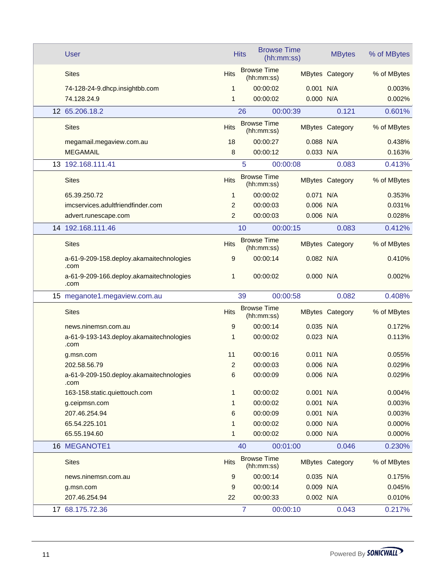|  | <b>User</b>                                      |                | <b>Hits</b> | <b>Browse Time</b>               | (hh:mm:ss)  | <b>MBytes</b>          | % of MBytes |
|--|--------------------------------------------------|----------------|-------------|----------------------------------|-------------|------------------------|-------------|
|  | <b>Sites</b>                                     | <b>Hits</b>    |             | <b>Browse Time</b><br>(hh:mm:ss) |             | <b>MBytes Category</b> | % of MBytes |
|  | 74-128-24-9.dhcp.insightbb.com                   | 1              |             | 00:00:02                         | $0.001$ N/A |                        | 0.003%      |
|  | 74.128.24.9                                      | 1              |             | 00:00:02                         | 0.000 N/A   |                        | 0.002%      |
|  | 12 65.206.18.2                                   |                | 26          |                                  | 00:00:39    | 0.121                  | 0.601%      |
|  | <b>Sites</b>                                     | <b>Hits</b>    |             | <b>Browse Time</b><br>(hh:mm:ss) |             | <b>MBytes Category</b> | % of MBytes |
|  | megamail.megaview.com.au                         | 18             |             | 00:00:27                         | $0.088$ N/A |                        | 0.438%      |
|  | <b>MEGAMAIL</b>                                  | 8              |             | 00:00:12                         | 0.033 N/A   |                        | 0.163%      |
|  | 13 192.168.111.41                                |                |             | 5                                | 00:00:08    | 0.083                  | 0.413%      |
|  | <b>Sites</b>                                     | <b>Hits</b>    |             | <b>Browse Time</b><br>(hh:mm:ss) |             | <b>MBytes Category</b> | % of MBytes |
|  | 65.39.250.72                                     | 1              |             | 00:00:02                         | 0.071 N/A   |                        | 0.353%      |
|  | imcservices.adultfriendfinder.com                | 2              |             | 00:00:03                         | 0.006 N/A   |                        | 0.031%      |
|  | advert.runescape.com                             | $\overline{2}$ |             | 00:00:03                         | 0.006 N/A   |                        | 0.028%      |
|  | 14 192.168.111.46                                |                | 10          |                                  | 00:00:15    | 0.083                  | 0.412%      |
|  | <b>Sites</b>                                     | <b>Hits</b>    |             | <b>Browse Time</b><br>(hh:mm:ss) |             | <b>MBytes Category</b> | % of MBytes |
|  | a-61-9-209-158.deploy.akamaitechnologies<br>.com | 9              |             | 00:00:14                         | 0.082 N/A   |                        | 0.410%      |
|  | a-61-9-209-166.deploy.akamaitechnologies<br>.com | 1              |             | 00:00:02                         | 0.000 N/A   |                        | 0.002%      |
|  | 15 meganote1.megaview.com.au                     |                | 39          |                                  | 00:00:58    | 0.082                  | 0.408%      |
|  | <b>Sites</b>                                     | <b>Hits</b>    |             | <b>Browse Time</b><br>(hh:mm:ss) |             | <b>MBytes Category</b> | % of MBytes |
|  | news.ninemsn.com.au                              | 9              |             | 00:00:14                         | $0.035$ N/A |                        | 0.172%      |
|  | a-61-9-193-143.deploy.akamaitechnologies<br>.com | 1              |             | 00:00:02                         | 0.023 N/A   |                        | 0.113%      |
|  | g.msn.com                                        | 11             |             | 00:00:16                         | 0.011       | N/A                    | 0.055%      |
|  | 202.58.56.79                                     | 2              |             | 00:00:03                         | 0.006 N/A   |                        | 0.029%      |
|  | a-61-9-209-150.deploy.akamaitechnologies<br>.com | 6              |             | 00:00:09                         | 0.006 N/A   |                        | 0.029%      |
|  | 163-158.static.quiettouch.com                    | 1              |             | 00:00:02                         | 0.001 N/A   |                        | 0.004%      |
|  | g.ceipmsn.com                                    | 1              |             | 00:00:02                         | 0.001 N/A   |                        | 0.003%      |
|  | 207.46.254.94                                    | 6              |             | 00:00:09                         | 0.001 N/A   |                        | 0.003%      |
|  | 65.54.225.101                                    | 1              |             | 00:00:02                         | 0.000 N/A   |                        | 0.000%      |
|  | 65.55.194.60                                     | 1              |             | 00:00:02                         | 0.000 N/A   |                        | 0.000%      |
|  | 16 MEGANOTE1                                     |                | 40          |                                  | 00:01:00    | 0.046                  | 0.230%      |
|  | <b>Sites</b>                                     | <b>Hits</b>    |             | <b>Browse Time</b><br>(hh:mm:ss) |             | <b>MBytes Category</b> | % of MBytes |
|  | news.ninemsn.com.au                              | 9              |             | 00:00:14                         | 0.035 N/A   |                        | 0.175%      |
|  | g.msn.com                                        | 9              |             | 00:00:14                         | 0.009 N/A   |                        | 0.045%      |
|  | 207.46.254.94                                    | 22             |             | 00:00:33                         | 0.002 N/A   |                        | 0.010%      |
|  | 17 68.175.72.36                                  |                |             | $\overline{7}$                   | 00:00:10    | 0.043                  | 0.217%      |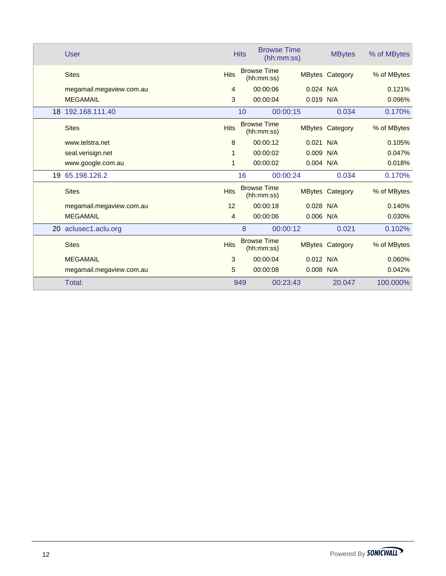|    | <b>User</b>              |             | <b>Browse Time</b><br><b>Hits</b> | (hh:mm:ss)  | <b>MBytes</b>          | % of MBytes |
|----|--------------------------|-------------|-----------------------------------|-------------|------------------------|-------------|
|    | <b>Sites</b>             | <b>Hits</b> | <b>Browse Time</b><br>(hh:mm:ss)  |             | <b>MBytes Category</b> | % of MBytes |
|    | megamail.megaview.com.au | 4           | 00:00:06                          | $0.024$ N/A |                        | 0.121%      |
|    | <b>MEGAMAIL</b>          | 3           | 00:00:04                          | 0.019 N/A   |                        | 0.096%      |
|    | 18 192.168.111.40        |             | 10                                | 00:00:15    | 0.034                  | 0.170%      |
|    | <b>Sites</b>             | <b>Hits</b> | <b>Browse Time</b><br>(hh:mm:ss)  |             | <b>MBytes Category</b> | % of MBytes |
|    | www.telstra.net          | 8           | 00:00:12                          | 0.021       | N/A                    | 0.105%      |
|    | seal.verisign.net        | 1           | 00:00:02                          | 0.009       | N/A                    | 0.047%      |
|    | www.google.com.au        | 1           | 00:00:02                          | $0.004$ N/A |                        | 0.018%      |
| 19 | 65.198.126.2             |             | 16                                | 00:00:24    | 0.034                  | 0.170%      |
|    | <b>Sites</b>             | <b>Hits</b> | <b>Browse Time</b><br>(hh:mm:ss)  |             | <b>MBytes Category</b> | % of MBytes |
|    | megamail.megaview.com.au | 12          | 00:00:18                          | 0.028 N/A   |                        | 0.140%      |
|    | <b>MEGAMAIL</b>          | 4           | 00:00:06                          | $0.006$ N/A |                        | 0.030%      |
|    |                          |             |                                   | 00:00:12    | 0.021                  |             |
|    | 20 aclusec1.aclu.org     |             | 8                                 |             |                        | 0.102%      |
|    | <b>Sites</b>             | <b>Hits</b> | <b>Browse Time</b><br>(hh:mm:ss)  |             | <b>MBytes Category</b> | % of MBytes |
|    | <b>MEGAMAIL</b>          | 3           | 00:00:04                          | $0.012$ N/A |                        | 0.060%      |
|    | megamail.megaview.com.au | 5           | 00:00:08                          | $0.008$ N/A |                        | 0.042%      |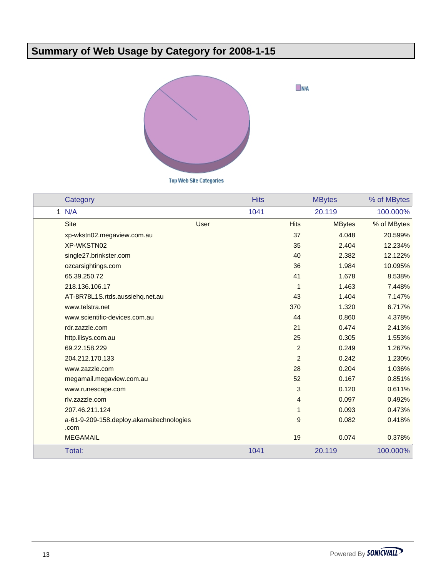# **Summary of Web Usage by Category for 2008-1-15**



**Top Web Site Categories** 

| Category                                         | <b>Hits</b> |                | <b>MBytes</b> | % of MBytes |
|--------------------------------------------------|-------------|----------------|---------------|-------------|
| 1 N/A                                            | 1041        |                | 20.119        | 100.000%    |
| <b>Site</b>                                      | User        | <b>Hits</b>    | <b>MBytes</b> | % of MBytes |
| xp-wkstn02.megaview.com.au                       |             | 37             | 4.048         | 20.599%     |
| XP-WKSTN02                                       |             | 35             | 2.404         | 12.234%     |
| single27.brinkster.com                           |             | 40             | 2.382         | 12.122%     |
| ozcarsightings.com                               |             | 36             | 1.984         | 10.095%     |
| 65.39.250.72                                     |             | 41             | 1.678         | 8.538%      |
| 218.136.106.17                                   |             | 1              | 1.463         | 7.448%      |
| AT-8R78L1S.rtds.aussiehq.net.au                  |             | 43             | 1.404         | 7.147%      |
| www.telstra.net                                  |             | 370            | 1.320         | 6.717%      |
| www.scientific-devices.com.au                    |             | 44             | 0.860         | 4.378%      |
| rdr.zazzle.com                                   |             | 21             | 0.474         | 2.413%      |
| http.ilisys.com.au                               |             | 25             | 0.305         | 1.553%      |
| 69.22.158.229                                    |             | $\overline{2}$ | 0.249         | 1.267%      |
| 204.212.170.133                                  |             | $\overline{a}$ | 0.242         | 1.230%      |
| www.zazzle.com                                   |             | 28             | 0.204         | 1.036%      |
| megamail.megaview.com.au                         |             | 52             | 0.167         | 0.851%      |
| www.runescape.com                                |             | 3              | 0.120         | 0.611%      |
| rlv.zazzle.com                                   |             | 4              | 0.097         | 0.492%      |
| 207.46.211.124                                   |             | $\mathbf{1}$   | 0.093         | 0.473%      |
| a-61-9-209-158.deploy.akamaitechnologies<br>.com |             | 9              | 0.082         | 0.418%      |
| <b>MEGAMAIL</b>                                  |             | 19             | 0.074         | 0.378%      |
| Total:                                           | 1041        |                | 20.119        | 100.000%    |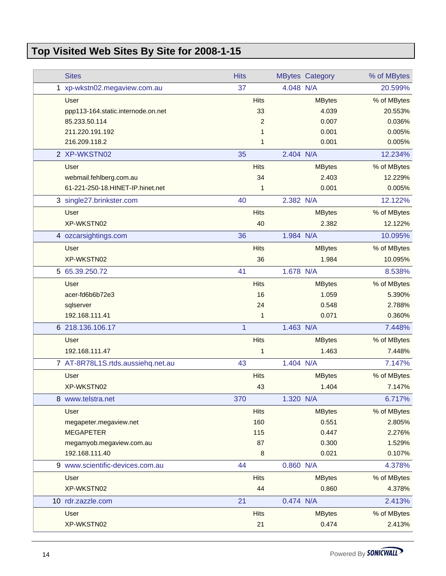# **Top Visited Web Sites By Site for 2008-1-15**

| <b>Sites</b>                       | <b>Hits</b> |                |           | <b>MBytes Category</b> | % of MBytes |
|------------------------------------|-------------|----------------|-----------|------------------------|-------------|
| 1 xp-wkstn02.megaview.com.au       | 37          |                | 4.048 N/A |                        | 20.599%     |
| <b>User</b>                        |             | <b>Hits</b>    |           | <b>MBytes</b>          | % of MBytes |
| ppp113-164.static.internode.on.net |             | 33             |           | 4.039                  | 20.553%     |
| 85.233.50.114                      |             | $\overline{c}$ |           | 0.007                  | 0.036%      |
| 211.220.191.192                    |             | 1              |           | 0.001                  | 0.005%      |
| 216.209.118.2                      |             | 1              |           | 0.001                  | 0.005%      |
| 2 XP-WKSTN02                       | 35          |                | 2.404 N/A |                        | 12.234%     |
| <b>User</b>                        |             | <b>Hits</b>    |           | <b>MBytes</b>          | % of MBytes |
| webmail.fehlberg.com.au            |             | 34             |           | 2.403                  | 12.229%     |
| 61-221-250-18.HINET-IP.hinet.net   |             | 1              |           | 0.001                  | 0.005%      |
| 3 single27.brinkster.com           | 40          |                | 2.382 N/A |                        | 12.122%     |
| <b>User</b>                        |             | <b>Hits</b>    |           | <b>MBytes</b>          | % of MBytes |
| XP-WKSTN02                         |             | 40             |           | 2.382                  | 12.122%     |
| 4 ozcarsightings.com               | 36          |                | 1.984 N/A |                        | 10.095%     |
| <b>User</b>                        |             | <b>Hits</b>    |           | <b>MBytes</b>          | % of MBytes |
| XP-WKSTN02                         |             | 36             |           | 1.984                  | 10.095%     |
| 5 65.39.250.72                     | 41          |                | 1.678 N/A |                        | 8.538%      |
| <b>User</b>                        |             | <b>Hits</b>    |           | <b>MBytes</b>          | % of MBytes |
| acer-fd6b6b72e3                    |             | 16             |           | 1.059                  | 5.390%      |
| sqlserver                          |             | 24             |           | 0.548                  | 2.788%      |
| 192.168.111.41                     |             | 1              |           | 0.071                  | 0.360%      |
| 6 218.136.106.17                   | 1           |                | 1.463 N/A |                        | 7.448%      |
| User                               |             | <b>Hits</b>    |           | <b>MBytes</b>          | % of MBytes |
| 192.168.111.47                     |             | 1              |           | 1.463                  | 7.448%      |
| 7 AT-8R78L1S.rtds.aussiehq.net.au  | 43          |                | 1.404 N/A |                        | 7.147%      |
| User                               |             | <b>Hits</b>    |           | <b>MBytes</b>          | % of MBytes |
| XP-WKSTN02                         |             | 43             |           | 1.404                  | 7.147%      |
| 8 www.telstra.net                  | 370         |                | 1.320 N/A |                        | 6.717%      |
| User                               |             | <b>Hits</b>    |           | <b>MBytes</b>          | % of MBytes |
| megapeter.megaview.net             |             | 160            |           | 0.551                  | 2.805%      |
| <b>MEGAPETER</b>                   |             | 115            |           | 0.447                  | 2.276%      |
| megamyob.megaview.com.au           |             | 87             |           | 0.300                  | 1.529%      |
| 192.168.111.40                     |             | 8              |           | 0.021                  | 0.107%      |
| 9 www.scientific-devices.com.au    | 44          |                | 0.860 N/A |                        | 4.378%      |
| User                               |             | <b>Hits</b>    |           | <b>MBytes</b>          | % of MBytes |
| XP-WKSTN02                         |             | 44             |           | 0.860                  | 4.378%      |
| 10 rdr.zazzle.com                  | 21          |                | 0.474 N/A |                        | 2.413%      |
| User                               |             | <b>Hits</b>    |           | <b>MBytes</b>          | % of MBytes |
| XP-WKSTN02                         |             | 21             |           | 0.474                  | 2.413%      |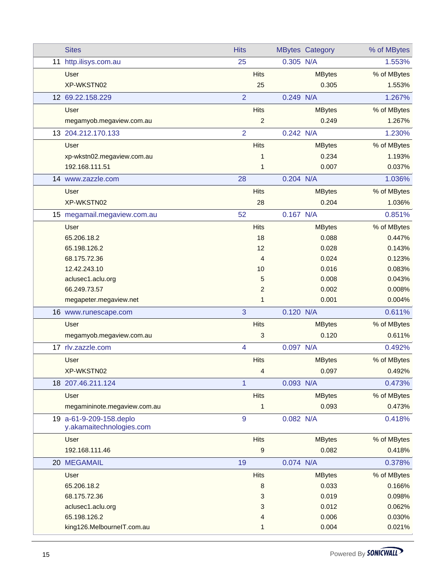|    | <b>Sites</b>                                        | <b>Hits</b>    |                |           | <b>MBytes Category</b> | % of MBytes |
|----|-----------------------------------------------------|----------------|----------------|-----------|------------------------|-------------|
| 11 | http.ilisys.com.au                                  | 25             |                | 0.305 N/A |                        | 1.553%      |
|    | User                                                |                | <b>Hits</b>    |           | <b>MBytes</b>          | % of MBytes |
|    | XP-WKSTN02                                          |                | 25             |           | 0.305                  | 1.553%      |
|    | 12 69.22.158.229                                    | $\overline{2}$ |                | 0.249 N/A |                        | 1.267%      |
|    | <b>User</b>                                         |                | <b>Hits</b>    |           | <b>MBytes</b>          | % of MBytes |
|    | megamyob.megaview.com.au                            |                | $\overline{c}$ |           | 0.249                  | 1.267%      |
|    | 13 204.212.170.133                                  | $\overline{2}$ |                | 0.242 N/A |                        | 1.230%      |
|    | User                                                |                | <b>Hits</b>    |           | <b>MBytes</b>          | % of MBytes |
|    | xp-wkstn02.megaview.com.au                          |                | 1              |           | 0.234                  | 1.193%      |
|    | 192.168.111.51                                      |                | 1              |           | 0.007                  | 0.037%      |
|    | 14 www.zazzle.com                                   | 28             |                | 0.204 N/A |                        | 1.036%      |
|    | User                                                |                | <b>Hits</b>    |           | <b>MBytes</b>          | % of MBytes |
|    | XP-WKSTN02                                          |                | 28             |           | 0.204                  | 1.036%      |
|    | 15 megamail.megaview.com.au                         | 52             |                | 0.167 N/A |                        | 0.851%      |
|    | User                                                |                | <b>Hits</b>    |           | <b>MBytes</b>          | % of MBytes |
|    | 65.206.18.2                                         |                | 18             |           | 0.088                  | 0.447%      |
|    | 65.198.126.2                                        |                | 12             |           | 0.028                  | 0.143%      |
|    | 68.175.72.36                                        |                | 4              |           | 0.024                  | 0.123%      |
|    | 12.42.243.10                                        |                | 10             |           | 0.016                  | 0.083%      |
|    | aclusec1.aclu.org                                   |                | 5              |           | 0.008                  | 0.043%      |
|    | 66.249.73.57                                        |                | $\overline{c}$ |           | 0.002                  | 0.008%      |
|    | megapeter.megaview.net                              |                | 1              |           | 0.001                  | 0.004%      |
|    | 16 www.runescape.com                                | 3              |                | 0.120 N/A |                        | 0.611%      |
|    | <b>User</b>                                         |                | <b>Hits</b>    |           | <b>MBytes</b>          | % of MBytes |
|    | megamyob.megaview.com.au                            |                | 3              |           | 0.120                  | 0.611%      |
|    | 17 rlv.zazzle.com                                   | $\overline{4}$ |                | 0.097 N/A |                        | 0.492%      |
|    | User                                                |                | <b>Hits</b>    |           | <b>MBytes</b>          | % of MBytes |
|    | XP-WKSTN02                                          |                | 4              |           | 0.097                  | 0.492%      |
|    | 18 207.46.211.124                                   | 1              |                | 0.093 N/A |                        | 0.473%      |
|    | User                                                |                | <b>Hits</b>    |           | <b>MBytes</b>          | % of MBytes |
|    | megamininote.megaview.com.au                        |                | 1              |           | 0.093                  | 0.473%      |
|    | 19 a-61-9-209-158.deplo<br>y.akamaitechnologies.com | 9              |                | 0.082 N/A |                        | 0.418%      |
|    | User                                                |                | <b>Hits</b>    |           | <b>MBytes</b>          | % of MBytes |
|    | 192.168.111.46                                      |                | 9              |           | 0.082                  | 0.418%      |
|    | 20 MEGAMAIL                                         | 19             |                | 0.074 N/A |                        | 0.378%      |
|    | User                                                |                | <b>Hits</b>    |           | <b>MBytes</b>          | % of MBytes |
|    | 65.206.18.2                                         |                | 8              |           | 0.033                  | 0.166%      |
|    | 68.175.72.36                                        |                | 3              |           | 0.019                  | 0.098%      |
|    | aclusec1.aclu.org                                   |                | 3              |           | 0.012                  | 0.062%      |
|    | 65.198.126.2                                        |                | 4              |           | 0.006                  | 0.030%      |
|    | king126.MelbournelT.com.au                          |                | 1              |           | 0.004                  | 0.021%      |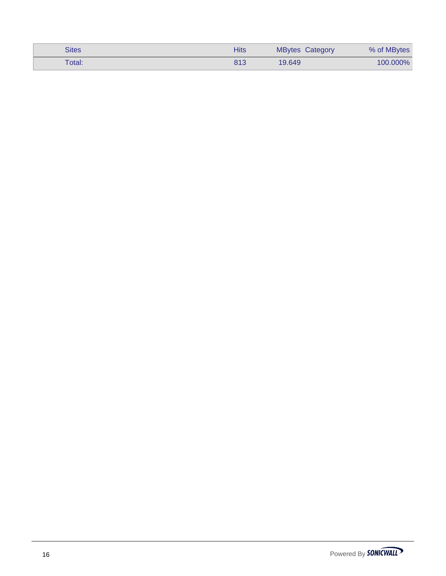| <b>Sites</b> | Hits | <b>MBytes Category</b> | % of MBytes |
|--------------|------|------------------------|-------------|
| Total:       | 813  | 19.649                 | 100.000%    |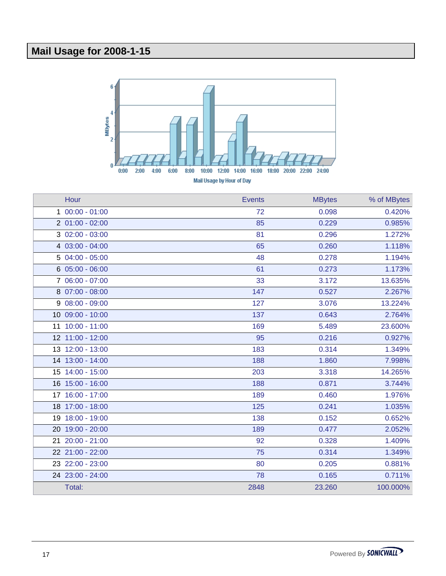# **Mail Usage for 2008-1-15**



| Hour             | Events | <b>MBytes</b> | % of MBytes |
|------------------|--------|---------------|-------------|
| $100:00 - 01:00$ | 72     | 0.098         | 0.420%      |
| $201:00 - 02:00$ | 85     | 0.229         | 0.985%      |
| $302:00 - 03:00$ | 81     | 0.296         | 1.272%      |
| 4 03:00 - 04:00  | 65     | 0.260         | 1.118%      |
| 5 04:00 - 05:00  | 48     | 0.278         | 1.194%      |
| $605:00 - 06:00$ | 61     | 0.273         | 1.173%      |
| 7 06:00 - 07:00  | 33     | 3.172         | 13.635%     |
| 8 07:00 - 08:00  | 147    | 0.527         | 2.267%      |
| $908:00 - 09:00$ | 127    | 3.076         | 13.224%     |
| 10 09:00 - 10:00 | 137    | 0.643         | 2.764%      |
| 11 10:00 - 11:00 | 169    | 5.489         | 23.600%     |
| 12 11:00 - 12:00 | 95     | 0.216         | 0.927%      |
| 13 12:00 - 13:00 | 183    | 0.314         | 1.349%      |
| 14 13:00 - 14:00 | 188    | 1.860         | 7.998%      |
| 15 14:00 - 15:00 | 203    | 3.318         | 14.265%     |
| 16 15:00 - 16:00 | 188    | 0.871         | 3.744%      |
| 17 16:00 - 17:00 | 189    | 0.460         | 1.976%      |
| 18 17:00 - 18:00 | 125    | 0.241         | 1.035%      |
| 19 18:00 - 19:00 | 138    | 0.152         | 0.652%      |
| 20 19:00 - 20:00 | 189    | 0.477         | 2.052%      |
| 21 20:00 - 21:00 | 92     | 0.328         | 1.409%      |
| 22 21:00 - 22:00 | 75     | 0.314         | 1.349%      |
| 23 22:00 - 23:00 | 80     | 0.205         | 0.881%      |
| 24 23:00 - 24:00 | 78     | 0.165         | 0.711%      |
| Total:           | 2848   | 23.260        | 100.000%    |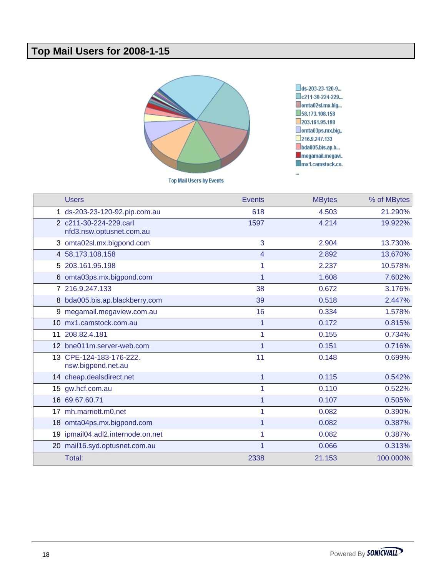## **Top Mail Users for 2008-1-15**



**Top Mail Users by Events** 

ds-203-23-120-9... c211-30-224-229... omta02sl.mx.big... 58.173.108.158 203.161.95.198 omta03ps.mx.big..  $216.9.247.133$ bda005.bis.ap.b... megamail.megavi..  $\blacksquare$ mx1.camstock.co.

u,

|    | <b>Users</b>                                       | <b>Events</b> | <b>MBytes</b> | % of MBytes |
|----|----------------------------------------------------|---------------|---------------|-------------|
|    | 1 ds-203-23-120-92.pip.com.au                      | 618           | 4.503         | 21.290%     |
|    | 2 c211-30-224-229.carl<br>nfd3.nsw.optusnet.com.au | 1597          | 4.214         | 19.922%     |
|    | 3 omta02sl.mx.bigpond.com                          | 3             | 2.904         | 13.730%     |
|    | 4 58.173.108.158                                   | 4             | 2.892         | 13.670%     |
|    | 5 203.161.95.198                                   |               | 2.237         | 10.578%     |
|    | 6 omta03ps.mx.bigpond.com                          |               | 1.608         | 7.602%      |
|    | 7 216.9.247.133                                    | 38            | 0.672         | 3.176%      |
|    | 8 bda005.bis.ap.blackberry.com                     | 39            | 0.518         | 2.447%      |
| 9  | megamail.megaview.com.au                           | 16            | 0.334         | 1.578%      |
|    | 10 mx1.camstock.com.au                             | 1             | 0.172         | 0.815%      |
| 11 | 208.82.4.181                                       |               | 0.155         | 0.734%      |
|    | 12 bne011m.server-web.com                          |               | 0.151         | 0.716%      |
|    | 13 CPE-124-183-176-222.<br>nsw.bigpond.net.au      | 11            | 0.148         | 0.699%      |
|    | 14 cheap.dealsdirect.net                           | 1             | 0.115         | 0.542%      |
|    | 15 gw.hcf.com.au                                   |               | 0.110         | 0.522%      |
|    | 16 69.67.60.71                                     |               | 0.107         | 0.505%      |
|    | 17 mh.marriott.m0.net                              |               | 0.082         | 0.390%      |
|    | 18 omta04ps.mx.bigpond.com                         |               | 0.082         | 0.387%      |
|    | 19 ipmail04.adl2.internode.on.net                  |               | 0.082         | 0.387%      |
|    | 20 mail16.syd.optusnet.com.au                      |               | 0.066         | 0.313%      |
|    | Total:                                             | 2338          | 21.153        | 100.000%    |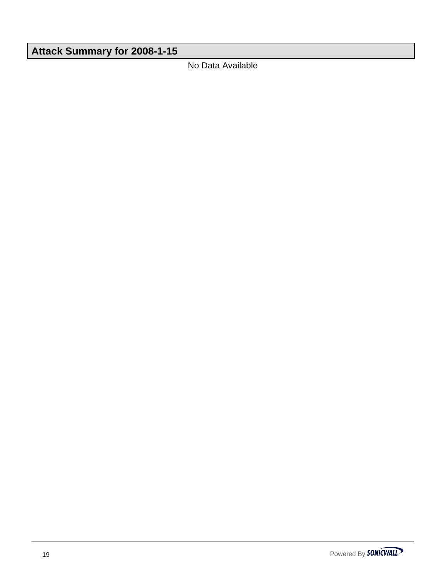# **Attack Summary for 2008-1-15**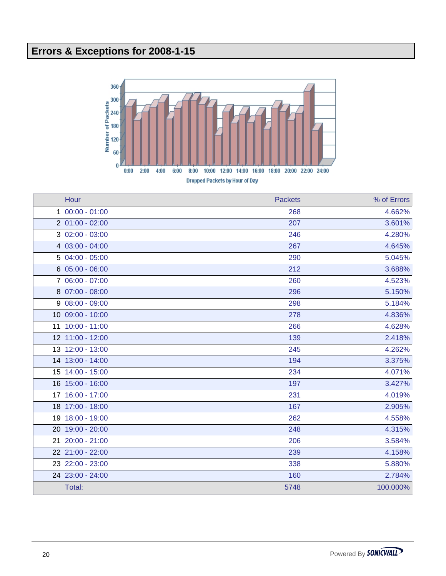# **Errors & Exceptions for 2008-1-15**



| Hour             | <b>Packets</b> | % of Errors |
|------------------|----------------|-------------|
| $100:00 - 01:00$ | 268            | 4.662%      |
| $201:00 - 02:00$ | 207            | 3.601%      |
| $302:00 - 03:00$ | 246            | 4.280%      |
| 4 03:00 - 04:00  | 267            | 4.645%      |
| $504:00 - 05:00$ | 290            | 5.045%      |
| $605:00 - 06:00$ | 212            | 3.688%      |
| 7 06:00 - 07:00  | 260            | 4.523%      |
| 8 07:00 - 08:00  | 296            | 5.150%      |
| $908:00 - 09:00$ | 298            | 5.184%      |
| 10 09:00 - 10:00 | 278            | 4.836%      |
| 11 10:00 - 11:00 | 266            | 4.628%      |
| 12 11:00 - 12:00 | 139            | 2.418%      |
| 13 12:00 - 13:00 | 245            | 4.262%      |
| 14 13:00 - 14:00 | 194            | 3.375%      |
| 15 14:00 - 15:00 | 234            | 4.071%      |
| 16 15:00 - 16:00 | 197            | 3.427%      |
| 17 16:00 - 17:00 | 231            | 4.019%      |
| 18 17:00 - 18:00 | 167            | 2.905%      |
| 19 18:00 - 19:00 | 262            | 4.558%      |
| 20 19:00 - 20:00 | 248            | 4.315%      |
| 21 20:00 - 21:00 | 206            | 3.584%      |
| 22 21:00 - 22:00 | 239            | 4.158%      |
| 23 22:00 - 23:00 | 338            | 5.880%      |
| 24 23:00 - 24:00 | 160            | 2.784%      |
| Total:           | 5748           | 100.000%    |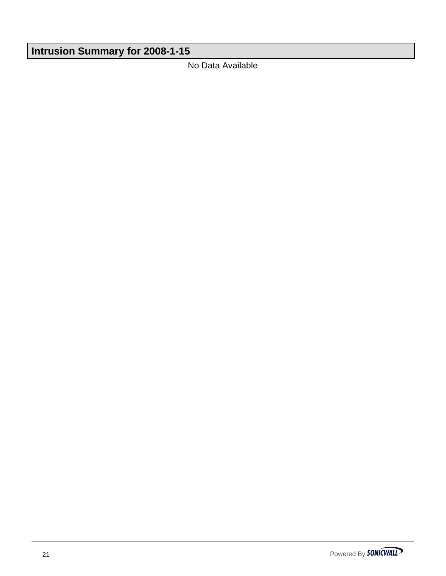# **Intrusion Summary for 2008-1-15**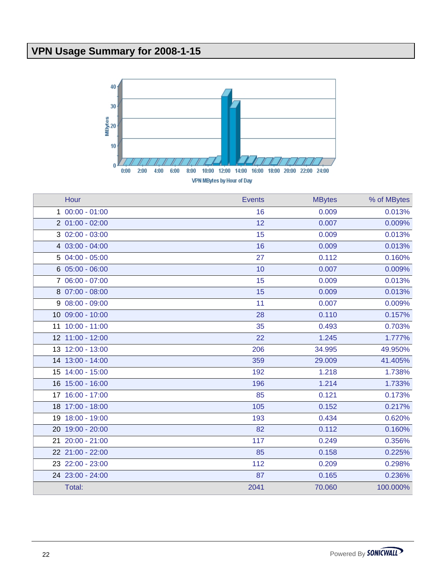# **VPN Usage Summary for 2008-1-15**



| Hour             | <b>Events</b> | <b>MBytes</b> | % of MBytes |
|------------------|---------------|---------------|-------------|
| $100:00 - 01:00$ | 16            | 0.009         | 0.013%      |
| $201:00 - 02:00$ | 12            | 0.007         | 0.009%      |
| $302:00 - 03:00$ | 15            | 0.009         | 0.013%      |
| 4 03:00 - 04:00  | 16            | 0.009         | 0.013%      |
| 5 04:00 - 05:00  | 27            | 0.112         | 0.160%      |
| $605:00 - 06:00$ | 10            | 0.007         | 0.009%      |
| 7 06:00 - 07:00  | 15            | 0.009         | 0.013%      |
| 8 07:00 - 08:00  | 15            | 0.009         | 0.013%      |
| $908:00 - 09:00$ | 11            | 0.007         | 0.009%      |
| 10 09:00 - 10:00 | 28            | 0.110         | 0.157%      |
| 11 10:00 - 11:00 | 35            | 0.493         | 0.703%      |
| 12 11:00 - 12:00 | 22            | 1.245         | 1.777%      |
| 13 12:00 - 13:00 | 206           | 34.995        | 49.950%     |
| 14 13:00 - 14:00 | 359           | 29.009        | 41.405%     |
| 15 14:00 - 15:00 | 192           | 1.218         | 1.738%      |
| 16 15:00 - 16:00 | 196           | 1.214         | 1.733%      |
| 17 16:00 - 17:00 | 85            | 0.121         | 0.173%      |
| 18 17:00 - 18:00 | 105           | 0.152         | 0.217%      |
| 19 18:00 - 19:00 | 193           | 0.434         | 0.620%      |
| 20 19:00 - 20:00 | 82            | 0.112         | 0.160%      |
| 21 20:00 - 21:00 | 117           | 0.249         | 0.356%      |
| 22 21:00 - 22:00 | 85            | 0.158         | 0.225%      |
| 23 22:00 - 23:00 | 112           | 0.209         | 0.298%      |
| 24 23:00 - 24:00 | 87            | 0.165         | 0.236%      |
| Total:           | 2041          | 70.060        | 100.000%    |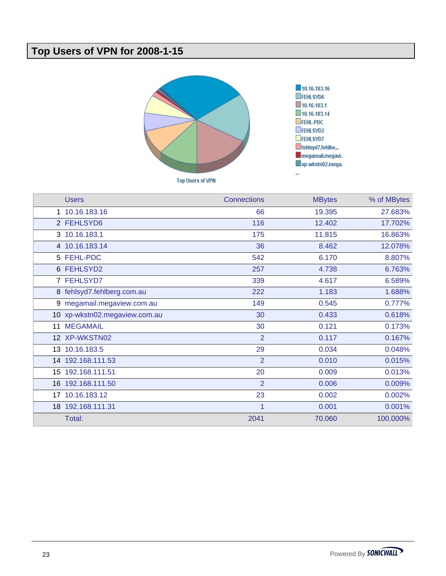## **Top Users of VPN for 2008-1-15**



| <b>Users</b>                  | <b>Connections</b> | <b>MBytes</b> | % of MBytes |
|-------------------------------|--------------------|---------------|-------------|
| 1 10.16.183.16                | 66                 | 19.395        | 27.683%     |
| 2 FEHLSYD6                    | 116                | 12.402        | 17.702%     |
| 3 10.16.183.1                 | 175                | 11.815        | 16.863%     |
| 4 10.16.183.14                | 36                 | 8.462         | 12.078%     |
| 5 FEHL-PDC                    | 542                | 6.170         | 8.807%      |
| 6 FEHLSYD2                    | 257                | 4.738         | 6.763%      |
| 7 FEHLSYD7                    | 339                | 4.617         | 6.589%      |
| 8 fehlsyd7.fehlberg.com.au    | 222                | 1.183         | 1.688%      |
| 9 megamail.megaview.com.au    | 149                | 0.545         | 0.777%      |
| 10 xp-wkstn02.megaview.com.au | 30                 | 0.433         | 0.618%      |
| 11 MEGAMAIL                   | 30                 | 0.121         | 0.173%      |
| 12 XP-WKSTN02                 | $\overline{2}$     | 0.117         | 0.167%      |
| 13 10.16.183.5                | 29                 | 0.034         | 0.048%      |
| 14 192.168.111.53             | $\overline{2}$     | 0.010         | 0.015%      |
| 15 192.168.111.51             | 20                 | 0.009         | 0.013%      |
| 16 192.168.111.50             | $\overline{2}$     | 0.006         | 0.009%      |
| 17 10.16.183.12               | 23                 | 0.002         | 0.002%      |
| 18 192.168.111.31             | 1                  | 0.001         | 0.001%      |
| Total:                        | 2041               | 70.060        | 100.000%    |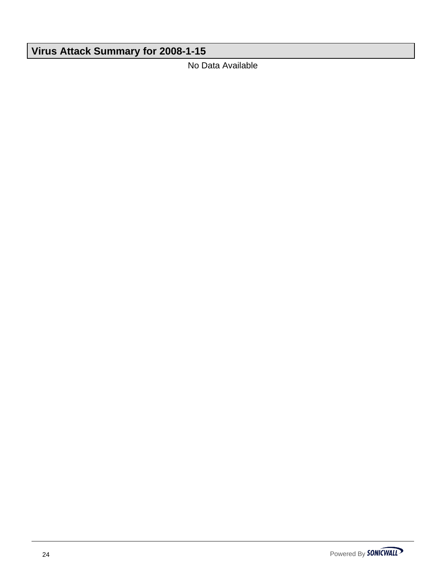# **Virus Attack Summary for 2008-1-15**